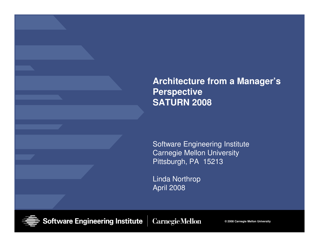**Architecture from a Manager's PerspectiveSATURN 2008**

Software Engineering InstituteCarnegie Mellon UniversityPittsburgh, PA 15213

Linda NorthropApril 2008

**Software Engineering Institute** 

**CarnegieMellon** 

**© 2008 Carnegie Mellon University**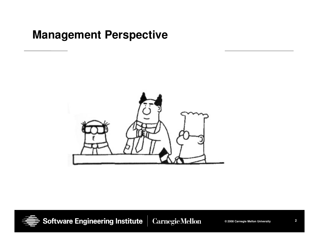### **Management Perspective**





Software Engineering Institute

**Carnegie Mellon**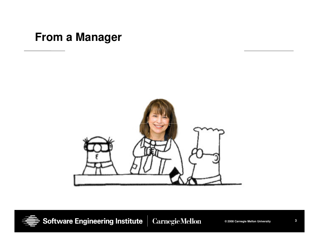### **From a Manager**





Software Engineering Institute **Carnegie Mellon** 

**© 2008 Carnegie Mellon University**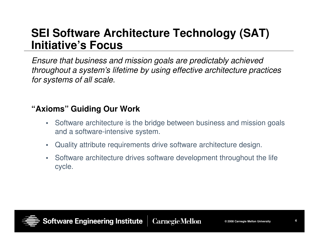### **SEI Software Architecture Technology (SAT) Initiative's Focus**

Ensure that business and mission goals are predictably achieved throughout a system's lifetime by using effective architecture practices for systems of all scale.

#### **"Axioms" Guiding Our Work**

- Software architecture is the bridge between business and mission goals and a software-intensive system.
- $\bullet$ Quality attribute requirements drive software architecture design.
- • Software architecture drives software development throughout the life cycle.

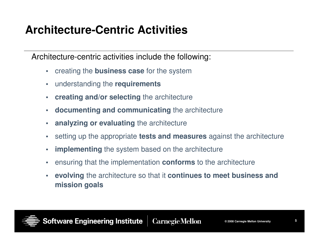## **Architecture-Centric Activities**

Architecture-centric activities include the following:

- •creating the **business case** for the system
- $\bullet$ understanding the **requirements**
- $\bullet$ **creating and/or selecting** the architecture
- $\bullet$ **documenting and communicating** the architecture
- •**analyzing or evaluating** the architecture
- •setting up the appropriate **tests and measures** against the architecture
- •**implementing** the system based on the architecture
- $\bullet$ ensuring that the implementation **conforms** to the architecture
- $\bullet$  **evolving** the architecture so that it **continues to meet business and mission goals**

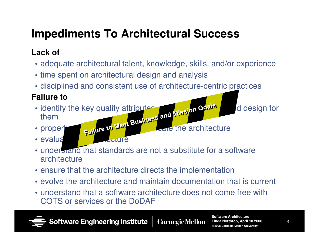# **Impediments To Architectural Success**

### **Lack of**

- adequate architectural talent, knowledge, skills, and/or experience
- time spent on architectural design and analysis
- disciplined and consistent use of architecture-centric practices

### **Failure to**

- identify the key quality attributes • identify the key quality attributes, wission Goals and design for them
- nro • properly and communicate the architecture

• evaluation and architecture

- understand that standards are not a substitute for a software architecture
- ensure that the architecture directs the implementation
- evolve the architecture and maintain documentation that is current
- understand that a software architecture does not come free with COTS or services or the DoDAF



**Software Engineering Institute Carnegie Mellon**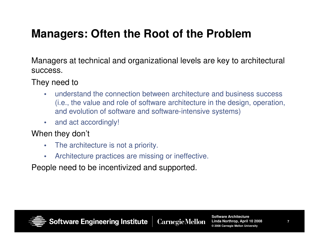## **Managers: Often the Root of the Problem**

Managers at technical and organizational levels are key to architectural success.

They need to

- • understand the connection between architecture and business success (i.e., the value and role of software architecture in the design, operation, and evolution of software and software-intensive systems)
- •and act accordingly!

#### When they don't

- $\bullet$ The architecture is not a priority.
- $\bullet$ Architecture practices are missing or ineffective.

People need to be incentivized and supported.

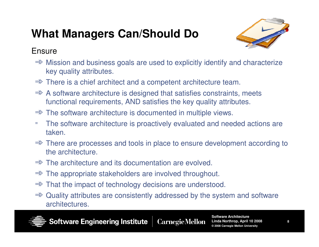# **What Managers Can/Should Do**



#### **Ensure**

- $\Rightarrow$  Mission and business goals are used to explicitly identify and characterize key quality attributes key quality attributes.
- ⇒ There is a chief architect and a competent architecture team.
- $\Rightarrow$  A software architecture is designed that satisfies constraints, meets functional requirements. AND satisfies the key quality attributes functional requirements, AND satisfies the key quality attributes.
- ⇒ The software architecture is documented in multiple views.<br>- The seftyere erebitecture is presetively sycluated and need
- ➾ The software architecture is proactively evaluated and needed actions are taken.
- $\Rightarrow$  There are processes and tools in place to ensure development according to the architecture the architecture.
- ⇒ The architecture and its documentation are evolved.<br>→ The enargeriste stakeholders are involved throughe
- ⇒ The appropriate stakeholders are involved throughout.<br>→ Thet the impact of technology decisions are understood
- ⇒ That the impact of technology decisions are understood.<br>→ Quelity ettributes are consistently addressed by the syst
- $\Rightarrow$  Quality attributes are consistently addressed by the system and software architectures architectures.



**Software Engineering Institute Carnegie Mellon**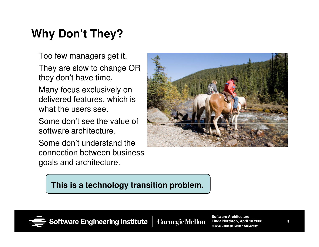## **Why Don't They?**

Too few managers get it.

They are slow to change OR they don't have time.

Many focus exclusively on delivered features, which is what the users see.

Some don't see the value of software architecture.

Some don't understand the connection between business goals and architecture.



#### **This is a technology transition problem.**



**Software Engineering Institute CarnegieMellon** 

**Software Architecture Linda Northrop, April 10 2008© 2008 Carnegie Mellon University**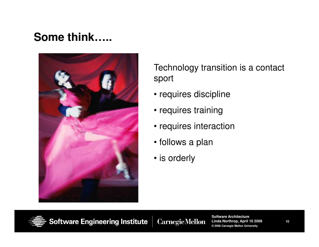## **Some think…..**



Technology transition is a contact sport

- requires discipline
- requires training
- requires interaction
- follows a plan
- is orderly



Software Engineering Institute **CarnegieMellon**  **Software Architecture Linda Northrop, April 10 2008© 2008 Carnegie Mellon University**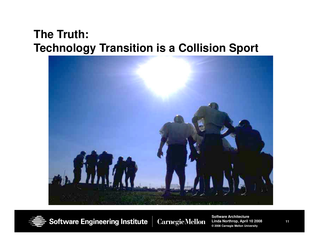## **The Truth: Technology Transition is a Collision Sport**





**Software Engineering Institute Carnegie Mellon** 

**Software Architecture Linda Northrop, April 10 2008© 2008 Carnegie Mellon University**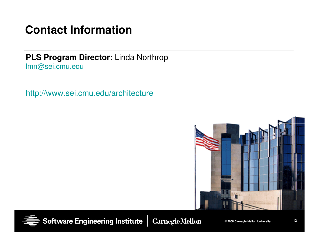## **Contact Information**

**PLS Program Director:** Linda Northrop lmn@sei.cmu.edu

http://www.sei.cmu.edu/architecture





**Software Engineering Institute** 

**CarnegieMellon** 

**© 2008 Carnegie Mellon University**